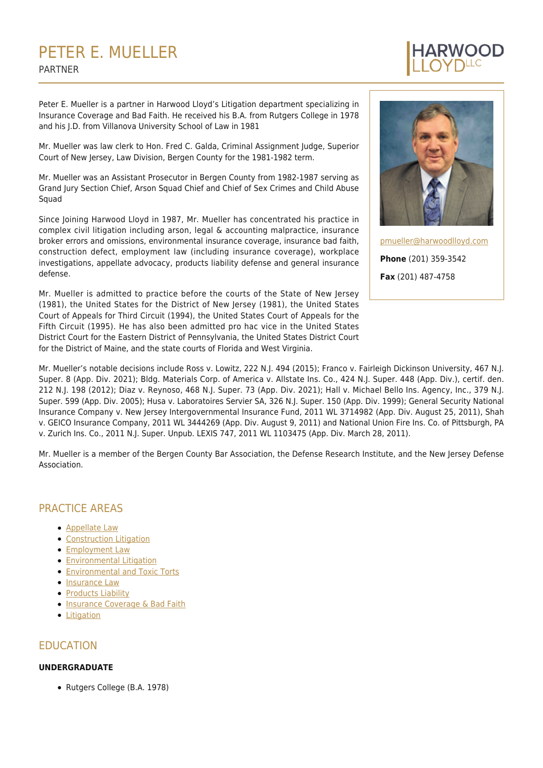# PETER E. MUELLER PARTNER

Peter E. Mueller is a partner in Harwood Lloyd's Litigation department specializing in Insurance Coverage and Bad Faith. He received his B.A. from Rutgers College in 1978 and his J.D. from Villanova University School of Law in 1981

Mr. Mueller was law clerk to Hon. Fred C. Galda, Criminal Assignment Judge, Superior Court of New Jersey, Law Division, Bergen County for the 1981-1982 term.

Mr. Mueller was an Assistant Prosecutor in Bergen County from 1982-1987 serving as Grand Jury Section Chief, Arson Squad Chief and Chief of Sex Crimes and Child Abuse Squad

Since Joining Harwood Lloyd in 1987, Mr. Mueller has concentrated his practice in complex civil litigation including arson, legal & accounting malpractice, insurance broker errors and omissions, environmental insurance coverage, insurance bad faith, construction defect, employment law (including insurance coverage), workplace investigations, appellate advocacy, products liability defense and general insurance defense.

Mr. Mueller is admitted to practice before the courts of the State of New Jersey (1981), the United States for the District of New Jersey (1981), the United States Court of Appeals for Third Circuit (1994), the United States Court of Appeals for the Fifth Circuit (1995). He has also been admitted pro hac vice in the United States District Court for the Eastern District of Pennsylvania, the United States District Court for the District of Maine, and the state courts of Florida and West Virginia.



[pmueller@harwoodlloyd.com](mailto:pmueller@harwoodlloyd.com) **Phone** (201) 359-3542 **Fax** (201) 487-4758

Mr. Mueller's notable decisions include Ross v. Lowitz, 222 N.J. 494 (2015); Franco v. Fairleigh Dickinson University, 467 N.J. Super. 8 (App. Div. 2021); Bldg. Materials Corp. of America v. Allstate Ins. Co., 424 N.J. Super. 448 (App. Div.), certif. den. 212 N.J. 198 (2012); Diaz v. Reynoso, 468 N.J. Super. 73 (App. Div. 2021); Hall v. Michael Bello Ins. Agency, Inc., 379 N.J. Super. 599 (App. Div. 2005); Husa v. Laboratoires Servier SA, 326 N.J. Super. 150 (App. Div. 1999); General Security National Insurance Company v. New Jersey Intergovernmental Insurance Fund, 2011 WL 3714982 (App. Div. August 25, 2011), Shah v. GEICO Insurance Company, 2011 WL 3444269 (App. Div. August 9, 2011) and National Union Fire Ins. Co. of Pittsburgh, PA v. Zurich Ins. Co., 2011 N.J. Super. Unpub. LEXIS 747, 2011 WL 1103475 (App. Div. March 28, 2011).

Mr. Mueller is a member of the Bergen County Bar Association, the Defense Research Institute, and the New Jersey Defense Association.

# PRACTICE AREAS

- [Appellate Law](https://harwoodlloyd.com/practices/appellate-law/)
- **[Construction Litigation](https://harwoodlloyd.com/practices/construction-litigation/)**
- **[Employment Law](https://harwoodlloyd.com/practices/employment-law/)**
- **[Environmental Litigation](https://harwoodlloyd.com/practices/environmental-litigation/)**
- **[Environmental and Toxic Torts](https://harwoodlloyd.com/practices/environmental-toxic-torts/)**
- [Insurance Law](https://harwoodlloyd.com/practices/insurance-law/)
- [Products Liability](https://harwoodlloyd.com/practices/products-liability/)
- **[Insurance Coverage & Bad Faith](https://harwoodlloyd.com/practices/insurance-coverage-bad-faith/)**
- **•** [Litigation](https://harwoodlloyd.com/practices/litigation/)

# EDUCATION

#### **UNDERGRADUATE**

Rutgers College (B.A. 1978)